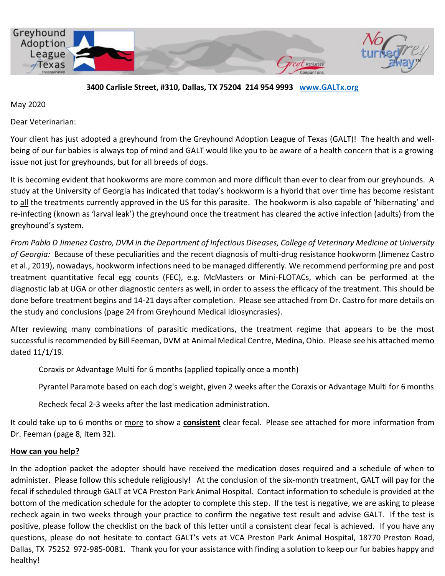

**3400 Carlisle Street, #310, Dallas, TX 75204 214 954 9993 [www.GALTx.org](http://www.galtx.org/)** 

May 2020

Dear Veterinarian:

Your client has just adopted a greyhound from the Greyhound Adoption League of Texas (GALT)! The health and wellbeing of our fur babies is always top of mind and GALT would like you to be aware of a health concern that is a growing issue not just for greyhounds, but for all breeds of dogs.

It is becoming evident that hookworms are more common and more difficult than ever to clear from our greyhounds. A study at the University of Georgia has indicated that today's hookworm is a hybrid that over time has become resistant to all the treatments currently approved in the US for this parasite. The hookworm is also capable of 'hibernating' and re-infecting (known as 'larval leak') the greyhound once the treatment has cleared the active infection (adults) from the greyhound's system.

*From Pablo D Jimenez Castro, DVM in the Department of Infectious Diseases, College of Veterinary Medicine at University of Georgia:* Because of these peculiarities and the recent diagnosis of multi-drug resistance hookworm (Jimenez Castro et al., 2019), nowadays, hookworm infections need to be managed differently. We recommend performing pre and post treatment quantitative fecal egg counts (FEC), e.g. McMasters or Mini-FLOTACs, which can be performed at the diagnostic lab at UGA or other diagnostic centers as well, in order to assess the efficacy of the treatment. This should be done before treatment begins and 14-21 days after completion. Please see attached from Dr. Castro for more details on the study and conclusions (page 24 from Greyhound Medical Idiosyncrasies).

After reviewing many combinations of parasitic medications, the treatment regime that appears to be the most successful is recommended by Bill Feeman, DVM at Animal Medical Centre, Medina, Ohio. Please see his attached memo dated 11/1/19.

Coraxis or Advantage Multi for 6 months (applied topically once a month)

Pyrantel Paramote based on each dog's weight, given 2 weeks after the Coraxis or Advantage Multi for 6 months

Recheck fecal 2-3 weeks after the last medication administration.

It could take up to 6 months or more to show a **consistent** clear fecal. Please see attached for more information from Dr. Feeman (page 8, Item 32).

#### **How can you help?**

In the adoption packet the adopter should have received the medication doses required and a schedule of when to administer. Please follow this schedule religiously! At the conclusion of the six-month treatment, GALT will pay for the fecal if scheduled through GALT at VCA Preston Park Animal Hospital. Contact information to schedule is provided at the bottom of the medication schedule for the adopter to complete this step. If the test is negative, we are asking to please recheck again in two weeks through your practice to confirm the negative test result and advise GALT. If the test is positive, please follow the checklist on the back of this letter until a consistent clear fecal is achieved. If you have any questions, please do not hesitate to contact GALT's vets at VCA Preston Park Animal Hospital, 18770 Preston Road, Dallas, TX 75252 972-985-0081. Thank you for your assistance with finding a solution to keep our fur babies happy and healthy!